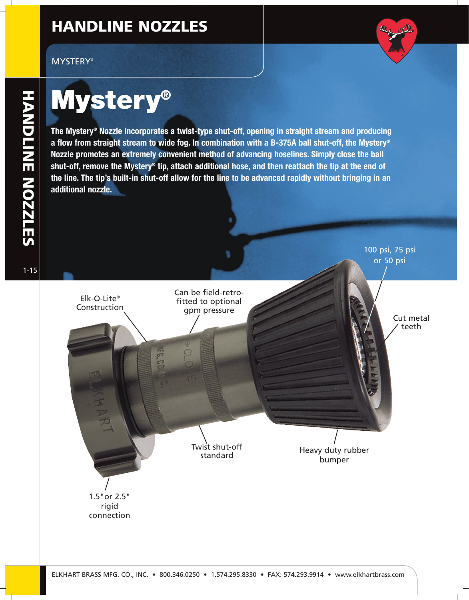## **HANDLINE NOZZLES**

#### MYSTERY®



# **Mystery®**

**The Mystery® Nozzle incorporates a twist-type shut-off, opening in straight stream and producing a flow from straight stream to wide fog. In combination with a B-375A ball shut-off, the Mystery® Nozzle promotes an extremely convenient method of advancing hoselines. Simply close the ball shut-off, remove the Mystery® tip, attach additional hose, and then reattach the tip at the end of the line. The tip's built-in shut-off allow for the line to be advanced rapidly without bringing in an additional nozzle.**



1-15